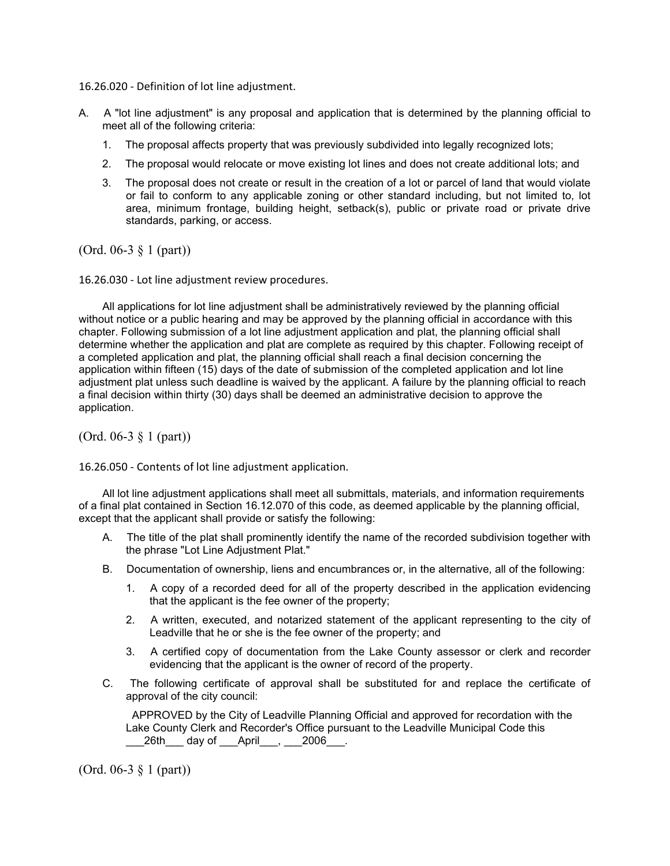16.26.020 - Definition of lot line adjustment.

- A. A "lot line adjustment" is any proposal and application that is determined by the planning official to meet all of the following criteria:
	- 1. The proposal affects property that was previously subdivided into legally recognized lots;
	- 2. The proposal would relocate or move existing lot lines and does not create additional lots; and
	- 3. The proposal does not create or result in the creation of a lot or parcel of land that would violate or fail to conform to any applicable zoning or other standard including, but not limited to, lot area, minimum frontage, building height, setback(s), public or private road or private drive standards, parking, or access.

(Ord. 06-3 § 1 (part))

16.26.030 - Lot line adjustment review procedures.

All applications for lot line adjustment shall be administratively reviewed by the planning official without notice or a public hearing and may be approved by the planning official in accordance with this chapter. Following submission of a lot line adjustment application and plat, the planning official shall determine whether the application and plat are complete as required by this chapter. Following receipt of a completed application and plat, the planning official shall reach a final decision concerning the application within fifteen (15) days of the date of submission of the completed application and lot line adjustment plat unless such deadline is waived by the applicant. A failure by the planning official to reach a final decision within thirty (30) days shall be deemed an administrative decision to approve the application.

(Ord. 06-3 § 1 (part))

16.26.050 - Contents of lot line adjustment application.

All lot line adjustment applications shall meet all submittals, materials, and information requirements of a final plat contained in Section 16.12.070 of this code, as deemed applicable by the planning official, except that the applicant shall provide or satisfy the following:

- A. The title of the plat shall prominently identify the name of the recorded subdivision together with the phrase "Lot Line Adjustment Plat."
- B. Documentation of ownership, liens and encumbrances or, in the alternative, all of the following:
	- 1. A copy of a recorded deed for all of the property described in the application evidencing that the applicant is the fee owner of the property;
	- 2. A written, executed, and notarized statement of the applicant representing to the city of Leadville that he or she is the fee owner of the property; and
	- 3. A certified copy of documentation from the Lake County assessor or clerk and recorder evidencing that the applicant is the owner of record of the property.
- C. The following certificate of approval shall be substituted for and replace the certificate of approval of the city council:

APPROVED by the City of Leadville Planning Official and approved for recordation with the Lake County Clerk and Recorder's Office pursuant to the Leadville Municipal Code this 26th day of April<sub>,</sub> 2006.

(Ord. 06-3 § 1 (part))